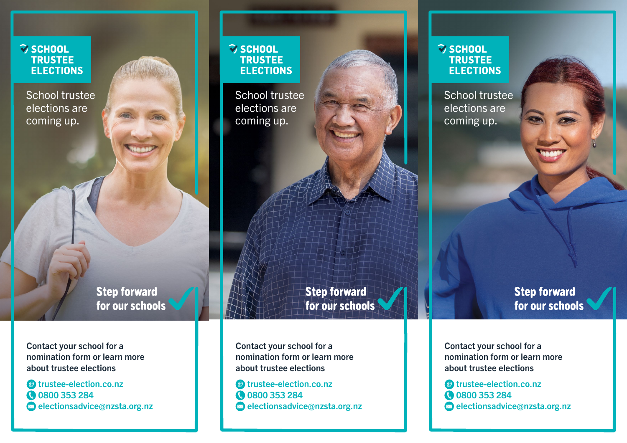# **VSCHOOL TRUSTEE ELECTIONS**

School trustee elections are coming up.

> **Step forward** for our schools

Contact your school for a nomination form or learn more about trustee elections

@ trustee-election.co.nz **@ 0800 353 284**  $\bullet$  electionsadvice@nzsta.org.nz

## **V SCHOOL TRUSTEE ELECTIONS**

School trustee elections are coming up.

> **Step forward** for our schools

Contact your school for a nomination form or learn more about trustee elections

@ trustee-election.co.nz **0800 353 284**  $\otimes$  electionsadvice@nzsta.org.nz

#### **S SCHOOL TRUSTEE ELECTIONS**

School trustee elections are coming up.

> **Step forward** for our schools

Contact your school for a nomination form or learn more about trustee elections

@ trustee-election.co.nz **@ 0800 353 284**  $\otimes$  electionsadvice@nzsta.org.nz